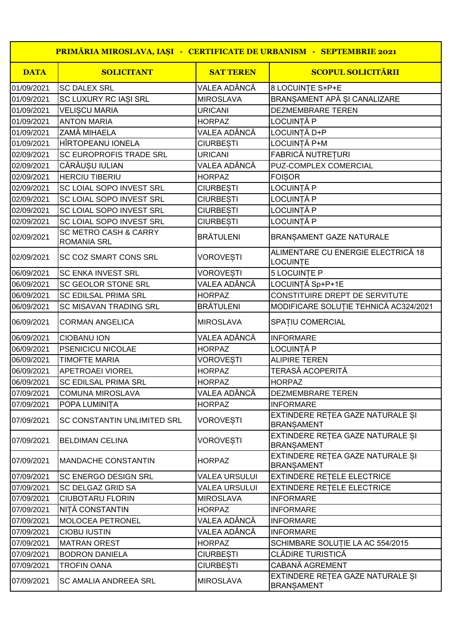| PRIMĂRIA MIROSLAVA, IAȘI - CERTIFICATE DE URBANISM - SEPTEMBRIE 2021 |                                                        |                  |                                                       |  |  |  |
|----------------------------------------------------------------------|--------------------------------------------------------|------------------|-------------------------------------------------------|--|--|--|
| <b>DATA</b>                                                          | <b>SOLICITANT</b>                                      | <b>SAT TEREN</b> | <b>SCOPUL SOLICITĂRII</b>                             |  |  |  |
| 01/09/2021                                                           | <b>SC DALEX SRL</b>                                    | VALEA ADÂNCĂ     | 8 LOCUINȚE S+P+E                                      |  |  |  |
| 01/09/2021                                                           | SC LUXURY RC IASI SRL                                  | <b>MIROSLAVA</b> | BRANSAMENT APĂ SI CANALIZARE                          |  |  |  |
| 01/09/2021                                                           | <b>VELISCU MARIA</b>                                   | <b>URICANI</b>   | <b>DEZMEMBRARE TEREN</b>                              |  |  |  |
| 01/09/2021                                                           | <b>ANTON MARIA</b>                                     | <b>HORPAZ</b>    | LOCUINȚĂ P                                            |  |  |  |
| 01/09/2021                                                           | <b>ZAMĂ MIHAELA</b>                                    | VALEA ADÂNCĂ     | LOCUINTĂ D+P                                          |  |  |  |
| 01/09/2021                                                           | HÎRTOPEANU IONELA                                      | <b>CIURBESTI</b> | LOCUINȚĂ P+M                                          |  |  |  |
| 02/09/2021                                                           | <b>SC EUROPROFIS TRADE SRL</b>                         | <b>URICANI</b>   | FABRICĂ NUTREȚURI                                     |  |  |  |
| 02/09/2021                                                           | CĂRĂUSU IULIAN                                         | VALEA ADÂNCĂ     | PUZ-COMPLEX COMERCIAL                                 |  |  |  |
| 02/09/2021                                                           | <b>HERCIU TIBERIU</b>                                  | <b>HORPAZ</b>    | <b>FOISOR</b>                                         |  |  |  |
| 02/09/2021                                                           | <b>SC LOIAL SOPO INVEST SRL</b>                        | <b>CIURBESTI</b> | LOCUINȚĂ P                                            |  |  |  |
| 02/09/2021                                                           | SC LOIAL SOPO INVEST SRL                               | <b>CIURBESTI</b> | LOCUINȚĂ P                                            |  |  |  |
| 02/09/2021                                                           | SC LOIAL SOPO INVEST SRL                               | <b>CIURBESTI</b> | LOCUINȚĂ P                                            |  |  |  |
| 02/09/2021                                                           | <b>SC LOIAL SOPO INVEST SRL</b>                        | <b>CIURBESTI</b> | LOCUINȚĂ P                                            |  |  |  |
| 02/09/2021                                                           | <b>SC METRO CASH &amp; CARRY</b><br><b>ROMANIA SRL</b> | <b>BRĂTULENI</b> | BRANȘAMENT GAZE NATURALE                              |  |  |  |
| 02/09/2021                                                           | <b>SC COZ SMART CONS SRL</b>                           | <b>VOROVEȘTI</b> | ALIMENTARE CU ENERGIE ELECTRICĂ 18<br><b>LOCUINTE</b> |  |  |  |
| 06/09/2021                                                           | <b>SC ENKA INVEST SRL</b>                              | <b>VOROVESTI</b> | 5 LOCUINTE P                                          |  |  |  |
| 06/09/2021                                                           | <b>SC GEOLOR STONE SRL</b>                             | VALEA ADÂNCĂ     | LOCUINȚĂ Sp+P+1E                                      |  |  |  |
| 06/09/2021                                                           | <b>SC EDILSAL PRIMA SRL</b>                            | <b>HORPAZ</b>    | CONSTITUIRE DREPT DE SERVITUTE                        |  |  |  |
| 06/09/2021                                                           | <b>SC MISAVAN TRADING SRL</b>                          | <b>BRÄTULENI</b> | MODIFICARE SOLUȚIE TEHNICĂ AC324/2021                 |  |  |  |
| 06/09/2021                                                           | <b>CORMAN ANGELICA</b>                                 | <b>MIROSLAVA</b> | SPATIU COMERCIAL                                      |  |  |  |
| 06/09/2021                                                           | <b>CIOBANU ION</b>                                     | VALEA ADÂNCĂ     | <b>INFORMARE</b>                                      |  |  |  |
| 06/09/2021                                                           | <b>PSENICICU NICOLAE</b>                               | <b>HORPAZ</b>    | LOCUINȚĂ P                                            |  |  |  |
| 06/09/2021                                                           | <b>TIMOFTE MARIA</b>                                   | <b>VOROVESTI</b> | <b>ALIPIRE TEREN</b>                                  |  |  |  |
| 06/09/2021                                                           | <b>APETROAEI VIOREL</b>                                | <b>HORPAZ</b>    | <b>TERASĂ ACOPERITĂ</b>                               |  |  |  |
| 06/09/2021                                                           | <b>SC EDILSAL PRIMA SRL</b>                            | <b>HORPAZ</b>    | <b>HORPAZ</b>                                         |  |  |  |
| 07/09/2021                                                           | <b>COMUNA MIROSLAVA</b>                                | VALEA ADÂNCĂ     | DEZMEMBRARE TEREN                                     |  |  |  |
| 07/09/2021                                                           | POPA LUMINITA                                          | <b>HORPAZ</b>    | <b>INFORMARE</b>                                      |  |  |  |
| 07/09/2021                                                           | SC CONSTANTIN UNLIMITED SRL                            | <b>VOROVEȘTI</b> | EXTINDERE RETEA GAZE NATURALE SI<br><b>BRANSAMENT</b> |  |  |  |
| 07/09/2021                                                           | <b>BELDIMAN CELINA</b>                                 | VOROVEȘTI        | EXTINDERE REȚEA GAZE NATURALE ȘI<br><b>BRANSAMENT</b> |  |  |  |
| 07/09/2021                                                           | <b>MANDACHE CONSTANTIN</b>                             | <b>HORPAZ</b>    | EXTINDERE REȚEA GAZE NATURALE ȘI<br><b>BRANSAMENT</b> |  |  |  |
| 07/09/2021                                                           | <b>SC ENERGO DESIGN SRL</b>                            | VALEA URSULUI    | <b>EXTINDERE RETELE ELECTRICE</b>                     |  |  |  |
| 07/09/2021                                                           | <b>SC DELGAZ GRID SA</b>                               | VALEA URSULUI    | <b>EXTINDERE RETELE ELECTRICE</b>                     |  |  |  |
| 07/09/2021                                                           | <b>CIUBOTARU FLORIN</b>                                | <b>MIROSLAVA</b> | <b>INFORMARE</b>                                      |  |  |  |
| 07/09/2021                                                           | NIȚĂ CONSTANTIN                                        | <b>HORPAZ</b>    | <b>INFORMARE</b>                                      |  |  |  |
| 07/09/2021                                                           | MOLOCEA PETRONEL                                       | VALEA ADÂNCĂ     | <b>INFORMARE</b>                                      |  |  |  |
| 07/09/2021                                                           | <b>CIOBU IUSTIN</b>                                    | VALEA ADÂNCĂ     | <b>INFORMARE</b>                                      |  |  |  |
| 07/09/2021                                                           | <b>MATRAN OREST</b>                                    | <b>HORPAZ</b>    | SCHIMBARE SOLUȚIE LA AC 554/2015                      |  |  |  |
| 07/09/2021                                                           | <b>BODRON DANIELA</b>                                  | <b>CIURBESTI</b> | CLĂDIRE TURISTICĂ                                     |  |  |  |
| 07/09/2021                                                           | <b>TROFIN OANA</b>                                     | <b>CIURBESTI</b> | CABANĂ AGREMENT                                       |  |  |  |
| 07/09/2021                                                           | <b>SC AMALIA ANDREEA SRL</b>                           | <b>MIROSLAVA</b> | EXTINDERE REȚEA GAZE NATURALE ȘI<br><b>BRANSAMENT</b> |  |  |  |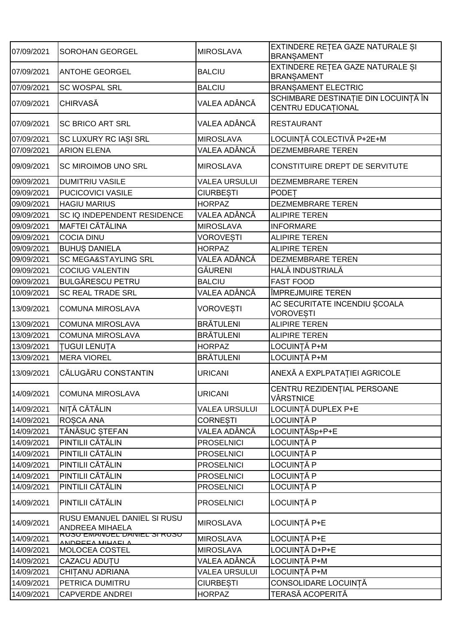| 07/09/2021 | <b>SOROHAN GEORGEL</b>                                | <b>MIROSLAVA</b>     | EXTINDERE REȚEA GAZE NATURALE ȘI<br><b>BRANSAMENT</b>             |
|------------|-------------------------------------------------------|----------------------|-------------------------------------------------------------------|
| 07/09/2021 | <b>ANTOHE GEORGEL</b>                                 | <b>BALCIU</b>        | EXTINDERE REȚEA GAZE NATURALE ȘI<br><b>BRANSAMENT</b>             |
| 07/09/2021 | <b>SC WOSPAL SRL</b>                                  | <b>BALCIU</b>        | <b>BRANSAMENT ELECTRIC</b>                                        |
| 07/09/2021 | <b>CHIRVASĂ</b>                                       | VALEA ADÂNCĂ         | SCHIMBARE DESTINAȚIE DIN LOCUINȚĂ ÎN<br><b>CENTRU EDUCATIONAL</b> |
| 07/09/2021 | <b>SC BRICO ART SRL</b>                               | VALEA ADÂNCĂ         | <b>RESTAURANT</b>                                                 |
| 07/09/2021 | SC LUXURY RC IASI SRL                                 | <b>MIROSLAVA</b>     | LOCUINȚĂ COLECTIVĂ P+2E+M                                         |
| 07/09/2021 | <b>ARION ELENA</b>                                    | VALEA ADÂNCĂ         | <b>DEZMEMBRARE TEREN</b>                                          |
| 09/09/2021 | <b>SC MIROIMOB UNO SRL</b>                            | <b>MIROSLAVA</b>     | CONSTITUIRE DREPT DE SERVITUTE                                    |
| 09/09/2021 | <b>DUMITRIU VASILE</b>                                | <b>VALEA URSULUI</b> | <b>DEZMEMBRARE TEREN</b>                                          |
| 09/09/2021 | PUCICOVICI VASILE                                     | <b>CIURBESTI</b>     | <b>PODET</b>                                                      |
| 09/09/2021 | <b>HAGIU MARIUS</b>                                   | <b>HORPAZ</b>        | <b>DEZMEMBRARE TEREN</b>                                          |
| 09/09/2021 | SC IQ INDEPENDENT RESIDENCE                           | VALEA ADÂNCĂ         | <b>ALIPIRE TEREN</b>                                              |
| 09/09/2021 | <b>MAFTEI CĂTĂLINA</b>                                | <b>MIROSLAVA</b>     | <b>INFORMARE</b>                                                  |
| 09/09/2021 | <b>COCIA DINU</b>                                     | <b>VOROVESTI</b>     | <b>ALIPIRE TEREN</b>                                              |
| 09/09/2021 | <b>BUHUS DANIELA</b>                                  | <b>HORPAZ</b>        | <b>ALIPIRE TEREN</b>                                              |
| 09/09/2021 | <b>SC MEGA&amp;STAYLING SRL</b>                       | VALEA ADÂNCĂ         | <b>DEZMEMBRARE TEREN</b>                                          |
| 09/09/2021 | <b>COCIUG VALENTIN</b>                                | <b>GÄURENI</b>       | HALĂ INDUSTRIALĂ                                                  |
| 09/09/2021 | <b>BULGĂRESCU PETRU</b>                               | <b>BALCIU</b>        | <b>FAST FOOD</b>                                                  |
| 10/09/2021 | <b>SC REAL TRADE SRL</b>                              | VALEA ADÂNCĂ         | ÎMPREJMUIRE TEREN                                                 |
| 13/09/2021 | <b>COMUNA MIROSLAVA</b>                               | VOROVEȘTI            | AC SECURITATE INCENDIU ȘCOALA<br><b>VOROVESTI</b>                 |
| 13/09/2021 | <b>COMUNA MIROSLAVA</b>                               | <b>BRÄTULENI</b>     | <b>ALIPIRE TEREN</b>                                              |
| 13/09/2021 | <b>COMUNA MIROSLAVA</b>                               | <b>BRĂTULENI</b>     | <b>ALIPIRE TEREN</b>                                              |
| 13/09/2021 | <b>TUGUI LENUTA</b>                                   | <b>HORPAZ</b>        | LOCUINȚĂ P+M                                                      |
| 13/09/2021 | <b>MERA VIOREL</b>                                    | <b>BRÄTULENI</b>     | LOCUINȚĂ P+M                                                      |
| 13/09/2021 | CĂLUGĂRU CONSTANTIN                                   | <b>URICANI</b>       | ANEXĂ A EXPLPATAȚIEI AGRICOLE                                     |
| 14/09/2021 | <b>COMUNA MIROSLAVA</b>                               | <b>URICANI</b>       | CENTRU REZIDENȚIAL PERSOANE<br>VÂRSTNICE                          |
| 14/09/2021 | NITĂ CĂTĂLIN                                          | <b>VALEA URSULUI</b> | LOCUINȚĂ DUPLEX P+E                                               |
| 14/09/2021 | ROSCA ANA                                             | <b>CORNESTI</b>      | <b>LOCUINTĂ P</b>                                                 |
| 14/09/2021 | TĂNĂSUC ȘTEFAN                                        | VALEA ADÂNCĂ         | LOCUINTĂSp+P+E                                                    |
| 14/09/2021 | PINTILII CĂTĂLIN                                      | <b>PROSELNICI</b>    | LOCUINȚĂ P                                                        |
| 14/09/2021 | PINTILII CĂTĂLIN                                      | <b>PROSELNICI</b>    | LOCUINȚĂ P                                                        |
| 14/09/2021 | PINTILII CĂTĂLIN                                      | <b>PROSELNICI</b>    | LOCUINȚĂ P                                                        |
| 14/09/2021 | PINTILII CĂTĂLIN                                      | <b>PROSELNICI</b>    | LOCUINȚĂ P                                                        |
| 14/09/2021 | PINTILII CĂTĂLIN                                      | <b>PROSELNICI</b>    | LOCUINȚĂ P                                                        |
| 14/09/2021 | PINTILII CĂTĂLIN                                      | <b>PROSELNICI</b>    | LOCUINȚĂ P                                                        |
| 14/09/2021 | RUSU EMANUEL DANIEL SI RUSU<br><b>ANDREEA MIHAELA</b> | <b>MIROSLAVA</b>     | LOCUINȚĂ P+E                                                      |
| 14/09/2021 | <u>KUJU EMANUEL DANIEL JI KUJU</u><br>ANDPEEA MIHAELA | <b>MIROSLAVA</b>     | LOCUINȚĂ P+E                                                      |
| 14/09/2021 | MOLOCEA COSTEL                                        | <b>MIROSLAVA</b>     | LOCUINȚĂ D+P+E                                                    |
| 14/09/2021 | CAZACU ADUȚU                                          | VALEA ADÂNCĂ         | LOCUINȚĂ P+M                                                      |
| 14/09/2021 | <b>CHITANU ADRIANA</b>                                | <b>VALEA URSULUI</b> | LOCUINȚĂ P+M                                                      |
| 14/09/2021 | PETRICA DUMITRU                                       | <b>CIURBESTI</b>     | CONSOLIDARE LOCUINȚĂ                                              |
| 14/09/2021 | <b>CAPVERDE ANDREI</b>                                | <b>HORPAZ</b>        | TERASĂ ACOPERITĂ                                                  |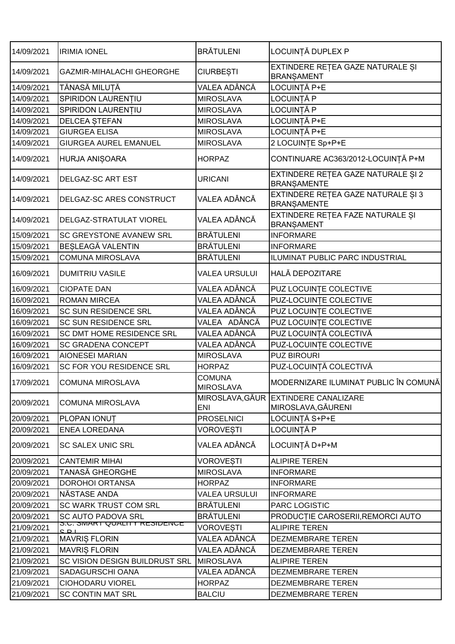| 14/09/2021 | <b>IRIMIA IONEL</b>                          | <b>BRĂTULENI</b>                  | LOCUINȚĂ DUPLEX P                                          |
|------------|----------------------------------------------|-----------------------------------|------------------------------------------------------------|
| 14/09/2021 | <b>GAZMIR-MIHALACHI GHEORGHE</b>             | <b>CIURBEȘTI</b>                  | EXTINDERE RETEA GAZE NATURALE ȘI<br><b>BRANSAMENT</b>      |
| 14/09/2021 | TĂNASĂ MILUȚĂ                                | VALEA ADÂNCĂ                      | LOCUINȚĂ P+E                                               |
| 14/09/2021 | SPIRIDON LAURENTIU                           | <b>MIROSLAVA</b>                  | LOCUINȚĂ P                                                 |
| 14/09/2021 | SPIRIDON LAURENTIU                           | <b>MIROSLAVA</b>                  | LOCUINȚĂ P                                                 |
| 14/09/2021 | <b>DELCEA STEFAN</b>                         | <b>MIROSLAVA</b>                  | LOCUINTĂ P+E                                               |
| 14/09/2021 | <b>GIURGEA ELISA</b>                         | <b>MIROSLAVA</b>                  | LOCUINȚĂ P+E                                               |
| 14/09/2021 | <b>GIURGEA AUREL EMANUEL</b>                 | <b>MIROSLAVA</b>                  | 2 LOCUINTE Sp+P+E                                          |
| 14/09/2021 | HURJA ANIȘOARA                               | <b>HORPAZ</b>                     | CONTINUARE AC363/2012-LOCUINȚĂ P+M                         |
| 14/09/2021 | DELGAZ-SC ART EST                            | <b>URICANI</b>                    | EXTINDERE REȚEA GAZE NATURALE ȘI 2<br><b>BRANSAMENTE</b>   |
| 14/09/2021 | DELGAZ-SC ARES CONSTRUCT                     | VALEA ADÂNCĂ                      | EXTINDERE REȚEA GAZE NATURALE ȘI 3<br><b>BRANSAMENTE</b>   |
| 14/09/2021 | DELGAZ-STRATULAT VIOREL                      | VALEA ADÂNCĂ                      | EXTINDERE REȚEA FAZE NATURALE ȘI<br><b>BRANSAMENT</b>      |
| 15/09/2021 | SC GREYSTONE AVANEW SRL                      | <b>BRĂTULENI</b>                  | <b>INFORMARE</b>                                           |
| 15/09/2021 | BESLEAGĂ VALENTIN                            | <b>BRÄTULENI</b>                  | <b>INFORMARE</b>                                           |
| 15/09/2021 | <b>COMUNA MIROSLAVA</b>                      | <b>BRĂTULENI</b>                  | ILUMINAT PUBLIC PARC INDUSTRIAL                            |
| 16/09/2021 | <b>DUMITRIU VASILE</b>                       | <b>VALEA URSULUI</b>              | <b>HALĂ DEPOZITARE</b>                                     |
| 16/09/2021 | <b>CIOPATE DAN</b>                           | VALEA ADÂNCĂ                      | PUZ LOCUINTE COLECTIVE                                     |
| 16/09/2021 | <b>ROMAN MIRCEA</b>                          | VALEA ADÂNCĂ                      | PUZ-LOCUINTE COLECTIVE                                     |
| 16/09/2021 | SC SUN RESIDENCE SRL                         | VALEA ADÂNCĂ                      | PUZ LOCUINTE COLECTIVE                                     |
| 16/09/2021 | SC SUN RESIDENCE SRL                         | VALEA ADÂNCĂ                      | PUZ LOCUINTE COLECTIVE                                     |
| 16/09/2021 | SC DMT HOME RESIDENCE SRL                    | VALEA ADÂNCĂ                      | PUZ LOCUINȚĂ COLECTIVĂ                                     |
| 16/09/2021 | <b>SC GRADENA CONCEPT</b>                    | VALEA ADÂNCĂ                      | PUZ-LOCUINTE COLECTIVE                                     |
| 16/09/2021 | <b>AIONESEI MARIAN</b>                       | <b>MIROSLAVA</b>                  | <b>PUZ BIROURI</b>                                         |
| 16/09/2021 | SC FOR YOU RESIDENCE SRL                     | <b>HORPAZ</b>                     | PUZ-LOCUINȚĂ COLECTIVĂ                                     |
| 17/09/2021 | <b>COMUNA MIROSLAVA</b>                      | <b>COMUNA</b><br><b>MIROSLAVA</b> | MODERNIZARE ILUMINAT PUBLIC ÎN COMUNĂ                      |
| 20/09/2021 | <b>COMUNA MIROSLAVA</b>                      | <b>ENI</b>                        | MIROSLAVA, GĂUR EXTINDERE CANALIZARE<br>MIROSLAVA, GĂURENI |
| 20/09/2021 | PLOPAN IONUT                                 | <b>PROSELNICI</b>                 | LOCUINȚĂ S+P+E                                             |
| 20/09/2021 | <b>ENEA LOREDANA</b>                         | <b>VOROVESTI</b>                  | LOCUINȚĂ P                                                 |
| 20/09/2021 | <b>SC SALEX UNIC SRL</b>                     | VALEA ADÂNCĂ                      | LOCUINȚĂ D+P+M                                             |
| 20/09/2021 | <b>CANTEMIR MIHAI</b>                        | <b>VOROVESTI</b>                  | <b>ALIPIRE TEREN</b>                                       |
| 20/09/2021 | <b>TANASĂ GHEORGHE</b>                       | <b>MIROSLAVA</b>                  | <b>INFORMARE</b>                                           |
| 20/09/2021 | <b>DOROHOI ORTANSA</b>                       | <b>HORPAZ</b>                     | <b>INFORMARE</b>                                           |
| 20/09/2021 | NĂSTASE ANDA                                 | <b>VALEA URSULUI</b>              | <b>INFORMARE</b>                                           |
| 20/09/2021 | <b>SC WARK TRUST COM SRL</b>                 | <b>BRÄTULENI</b>                  | <b>PARC LOGISTIC</b>                                       |
| 20/09/2021 | SC AUTO PADOVA SRL                           | <b>BRÄTULENI</b>                  | PRODUCȚIE CAROSERII, REMORCI AUTO                          |
| 21/09/2021 | <u>S.U. SIVIART QUALITT RESIDENCE</u><br>CDI | <b>VOROVESTI</b>                  | <b>ALIPIRE TEREN</b>                                       |
| 21/09/2021 | <b>MAVRIS FLORIN</b>                         | VALEA ADÂNCĂ                      | DEZMEMBRARE TEREN                                          |
| 21/09/2021 | <b>MAVRIS FLORIN</b>                         | VALEA ADÂNCĂ                      | DEZMEMBRARE TEREN                                          |
| 21/09/2021 | SC VISION DESIGN BUILDRUST SRL               | <b>MIROSLAVA</b>                  | <b>ALIPIRE TEREN</b>                                       |
| 21/09/2021 | SADAGURSCHI OANA                             | VALEA ADÂNCĂ                      | DEZMEMBRARE TEREN                                          |
| 21/09/2021 | <b>CIOHODARU VIOREL</b>                      | <b>HORPAZ</b>                     | DEZMEMBRARE TEREN                                          |
| 21/09/2021 | <b>SC CONTIN MAT SRL</b>                     | <b>BALCIU</b>                     | DEZMEMBRARE TEREN                                          |